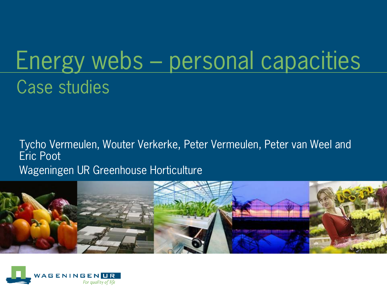# Energy webs – personal capacities Case studies

Tycho Vermeulen, Wouter Verkerke, Peter Vermeulen, Peter van Weel and Eric Poot Wageningen UR Greenhouse Horticulture



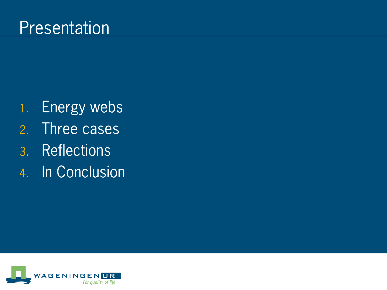- 1. Energy webs
- 2. Three cases
- 3. Reflections
- 4. In Conclusion

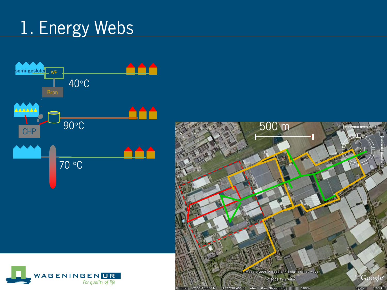## 1. Energy Webs



500 m H Image © 2008 Aerodata International Surveys Google<sup>®</sup> © 2008 Tele Atlas Eye alt  $1.63 \text{ km}$ elev 0 m Streaming |||||||||| 100% 4°27'00.45" E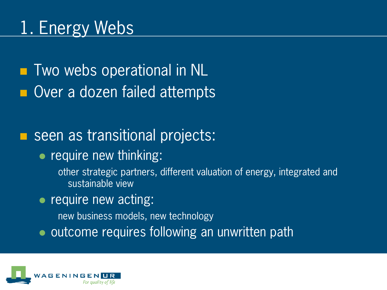**T** Two webs operational in NL **Over a dozen failed attempts** 

#### ■ seen as transitional projects:

• require new thinking:

other strategic partners, different valuation of energy, integrated and sustainable view

• require new acting:

new business models, new technology

• outcome requires following an unwritten path

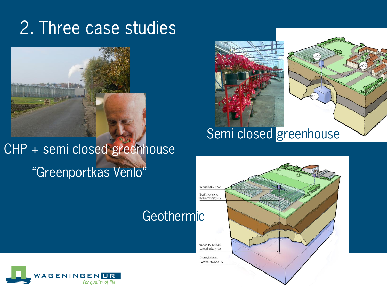## 2. Three case studies



CHP + semi closed greenhouse "Greenportkas Venlo"





#### Semi closed greenhouse



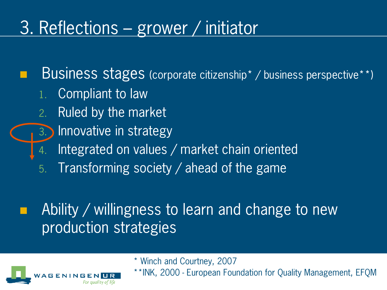## 3. Reflections – grower / initiator

 Business stages (corporate citizenship\* / business perspective\*\*) 1. Compliant to law

- 2. Ruled by the market
	- **Innovative in strategy**
	- Integrated on values / market chain oriented
- 5. Transforming society / ahead of the game

#### Ability / willingness to learn and change to new production strategies



\* Winch and Courtney, 2007

\*\*INK, 2000 - European Foundation for Quality Management, EFQM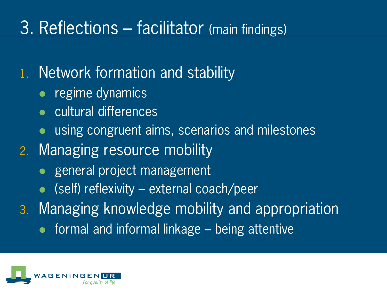## 3. Reflections – facilitator (main findings)

#### 1. Network formation and stability

- regime dynamics
- cultural differences
- using congruent aims, scenarios and milestones
- 2. Managing resource mobility
	- general project management
	- $\bullet$  (self) reflexivity external coach/peer
- 3. Managing knowledge mobility and appropriation
	- formal and informal linkage being attentive

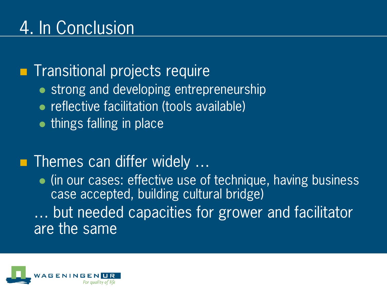**Transitional projects require** 

- strong and developing entrepreneurship
- **reflective facilitation (tools available)**
- $\bullet$  things falling in place

#### **Themes can differ widely ...**

• (in our cases: effective use of technique, having business case accepted, building cultural bridge) … but needed capacities for grower and facilitator are the same